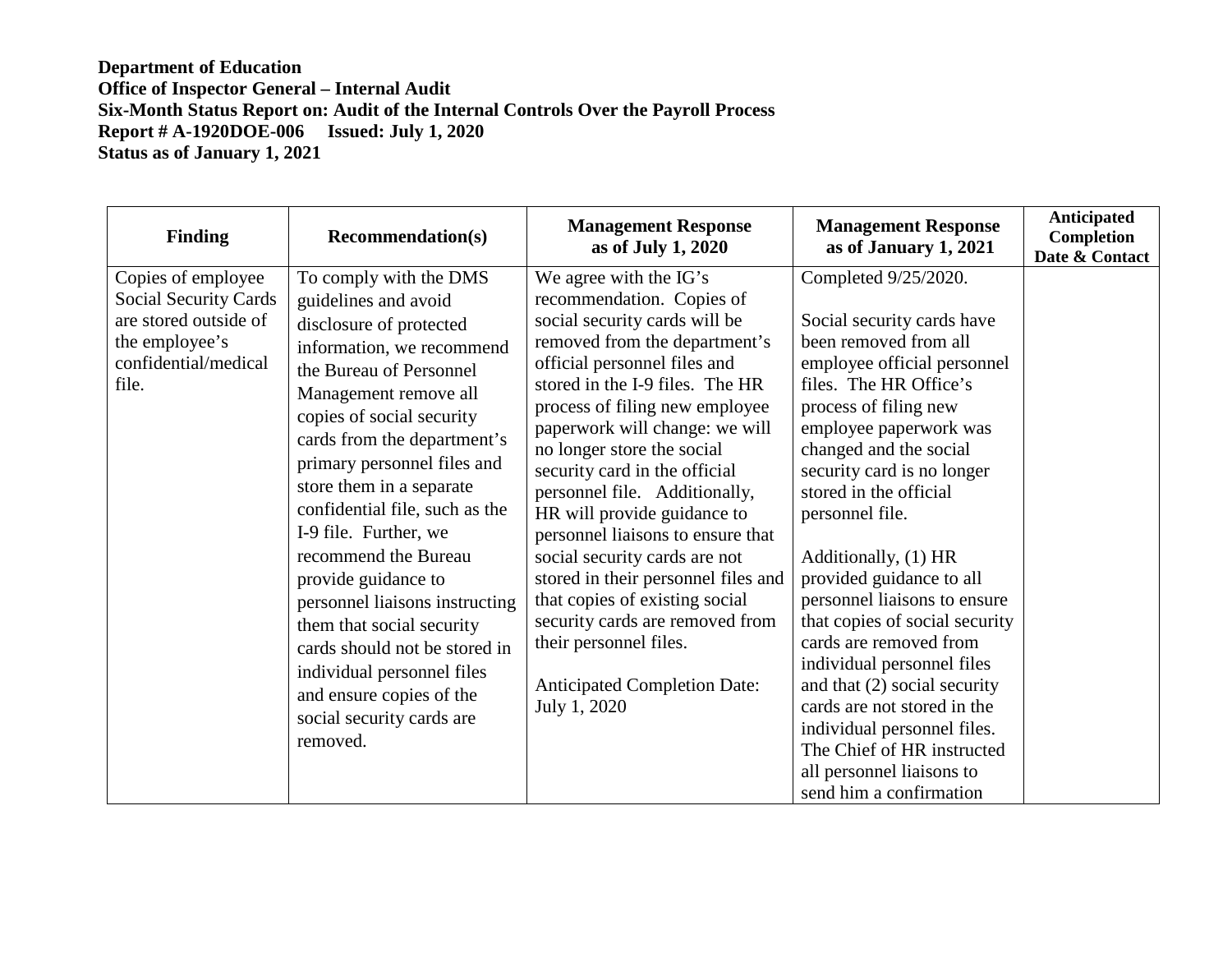## **Department of Education Office of Inspector General – Internal Audit Six-Month Status Report on: Audit of the Internal Controls Over the Payroll Process Report # A-1920DOE-006 Issued: July 1, 2020 Status as of January 1, 2021**

| <b>Finding</b>                                                                                                                 | <b>Recommendation(s)</b>                                                                                                                                                                                                                                                                                                                                                                                                                                                                                                                                                                       | <b>Management Response</b><br>as of July 1, 2020                                                                                                                                                                                                                                                                                                                                                                                                                                                                                                                                                                                                               | <b>Management Response</b><br>as of January 1, 2021                                                                                                                                                                                                                                                                                                                                                                                                                                                                                                                                                                                                            | Anticipated<br>Completion<br>Date & Contact |
|--------------------------------------------------------------------------------------------------------------------------------|------------------------------------------------------------------------------------------------------------------------------------------------------------------------------------------------------------------------------------------------------------------------------------------------------------------------------------------------------------------------------------------------------------------------------------------------------------------------------------------------------------------------------------------------------------------------------------------------|----------------------------------------------------------------------------------------------------------------------------------------------------------------------------------------------------------------------------------------------------------------------------------------------------------------------------------------------------------------------------------------------------------------------------------------------------------------------------------------------------------------------------------------------------------------------------------------------------------------------------------------------------------------|----------------------------------------------------------------------------------------------------------------------------------------------------------------------------------------------------------------------------------------------------------------------------------------------------------------------------------------------------------------------------------------------------------------------------------------------------------------------------------------------------------------------------------------------------------------------------------------------------------------------------------------------------------------|---------------------------------------------|
| Copies of employee<br><b>Social Security Cards</b><br>are stored outside of<br>the employee's<br>confidential/medical<br>file. | To comply with the DMS<br>guidelines and avoid<br>disclosure of protected<br>information, we recommend<br>the Bureau of Personnel<br>Management remove all<br>copies of social security<br>cards from the department's<br>primary personnel files and<br>store them in a separate<br>confidential file, such as the<br>I-9 file. Further, we<br>recommend the Bureau<br>provide guidance to<br>personnel liaisons instructing<br>them that social security<br>cards should not be stored in<br>individual personnel files<br>and ensure copies of the<br>social security cards are<br>removed. | We agree with the IG's<br>recommendation. Copies of<br>social security cards will be<br>removed from the department's<br>official personnel files and<br>stored in the I-9 files. The HR<br>process of filing new employee<br>paperwork will change: we will<br>no longer store the social<br>security card in the official<br>personnel file. Additionally,<br>HR will provide guidance to<br>personnel liaisons to ensure that<br>social security cards are not<br>stored in their personnel files and<br>that copies of existing social<br>security cards are removed from<br>their personnel files.<br><b>Anticipated Completion Date:</b><br>July 1, 2020 | Completed 9/25/2020.<br>Social security cards have<br>been removed from all<br>employee official personnel<br>files. The HR Office's<br>process of filing new<br>employee paperwork was<br>changed and the social<br>security card is no longer<br>stored in the official<br>personnel file.<br>Additionally, (1) HR<br>provided guidance to all<br>personnel liaisons to ensure<br>that copies of social security<br>cards are removed from<br>individual personnel files<br>and that (2) social security<br>cards are not stored in the<br>individual personnel files.<br>The Chief of HR instructed<br>all personnel liaisons to<br>send him a confirmation |                                             |